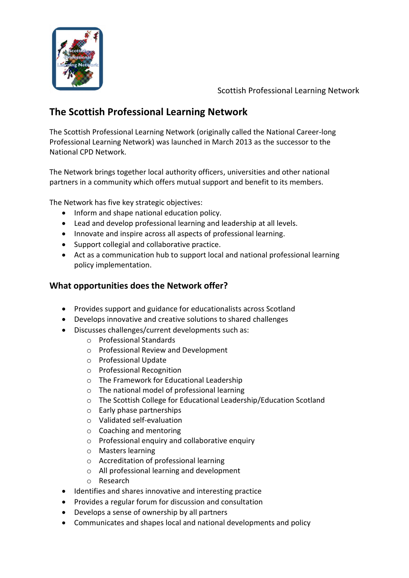

Scottish Professional Learning Network

## **The Scottish Professional Learning Network**

The Scottish Professional Learning Network (originally called the National Career-long Professional Learning Network) was launched in March 2013 as the successor to the National CPD Network.

The Network brings together local authority officers, universities and other national partners in a community which offers mutual support and benefit to its members.

The Network has five key strategic objectives:

- Inform and shape national education policy.
- Lead and develop professional learning and leadership at all levels.
- Innovate and inspire across all aspects of professional learning.
- Support collegial and collaborative practice.
- Act as a communication hub to support local and national professional learning policy implementation.

## **What opportunities does the Network offer?**

- Provides support and guidance for educationalists across Scotland
- Develops innovative and creative solutions to shared challenges
- Discusses challenges/current developments such as:
	- o Professional Standards
	- o Professional Review and Development
	- o Professional Update
	- o Professional Recognition
	- o The Framework for Educational Leadership
	- o The national model of professional learning
	- o The Scottish College for Educational Leadership/Education Scotland
	- o Early phase partnerships
	- o Validated self-evaluation
	- o Coaching and mentoring
	- o Professional enquiry and collaborative enquiry
	- o Masters learning
	- o Accreditation of professional learning
	- o All professional learning and development
	- o Research
- Identifies and shares innovative and interesting practice
- Provides a regular forum for discussion and consultation
- Develops a sense of ownership by all partners
- Communicates and shapes local and national developments and policy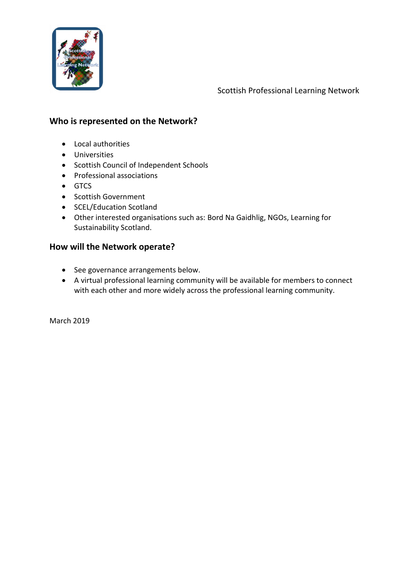

Scottish Professional Learning Network

### **Who is represented on the Network?**

- Local authorities
- Universities
- Scottish Council of Independent Schools
- Professional associations
- GTCS
- Scottish Government
- SCEL/Education Scotland
- Other interested organisations such as: Bord Na Gaidhlig, NGOs, Learning for Sustainability Scotland.

### **How will the Network operate?**

- See governance arrangements below.
- A virtual professional learning community will be available for members to connect with each other and more widely across the professional learning community.

March 2019